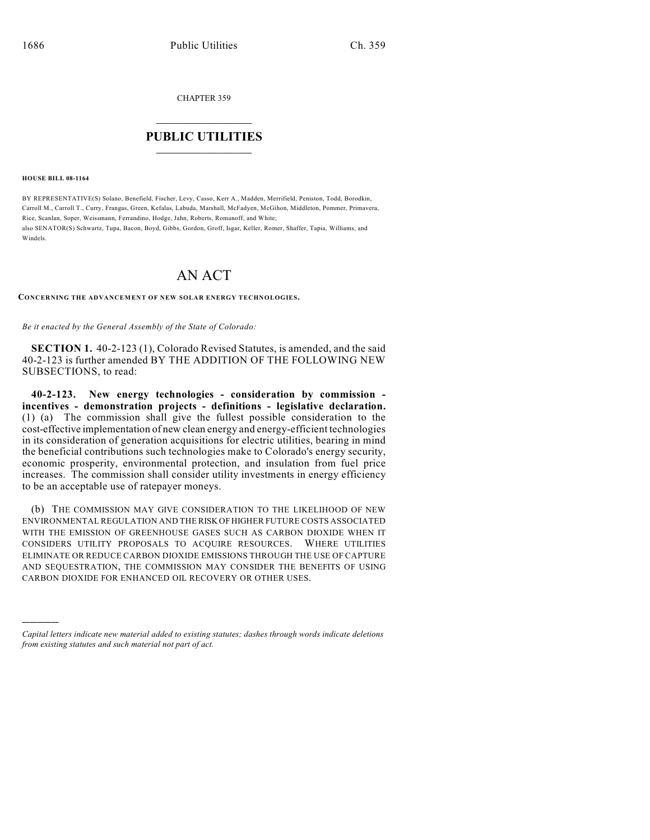CHAPTER 359

## $\overline{\phantom{a}}$  . The set of the set of the set of the set of the set of the set of the set of the set of the set of the set of the set of the set of the set of the set of the set of the set of the set of the set of the set o **PUBLIC UTILITIES** \_\_\_\_\_\_\_\_\_\_\_\_\_\_\_

**HOUSE BILL 08-1164**

)))))

BY REPRESENTATIVE(S) Solano, Benefield, Fischer, Levy, Casso, Kerr A., Madden, Merrifield, Peniston, Todd, Borodkin, Carroll M., Carroll T., Curry, Frangas, Green, Kefalas, Labuda, Marshall, McFadyen, McGihon, Middleton, Pommer, Primavera, Rice, Scanlan, Soper, Weissmann, Ferrandino, Hodge, Jahn, Roberts, Romanoff, and White; also SENATOR(S) Schwartz, Tupa, Bacon, Boyd, Gibbs, Gordon, Groff, Isgar, Keller, Romer, Shaffer, Tapia, Williams, and Windels.

## AN ACT

**CONCERNING THE ADVANCEMENT OF NEW SOLAR ENERGY TECHNOLOGIES.**

*Be it enacted by the General Assembly of the State of Colorado:*

**SECTION 1.** 40-2-123 (1), Colorado Revised Statutes, is amended, and the said 40-2-123 is further amended BY THE ADDITION OF THE FOLLOWING NEW SUBSECTIONS, to read:

**40-2-123. New energy technologies - consideration by commission incentives - demonstration projects - definitions - legislative declaration.** (1) (a) The commission shall give the fullest possible consideration to the cost-effective implementation of new clean energy and energy-efficient technologies in its consideration of generation acquisitions for electric utilities, bearing in mind the beneficial contributions such technologies make to Colorado's energy security, economic prosperity, environmental protection, and insulation from fuel price increases. The commission shall consider utility investments in energy efficiency to be an acceptable use of ratepayer moneys.

(b) THE COMMISSION MAY GIVE CONSIDERATION TO THE LIKELIHOOD OF NEW ENVIRONMENTAL REGULATION AND THE RISK OF HIGHER FUTURE COSTS ASSOCIATED WITH THE EMISSION OF GREENHOUSE GASES SUCH AS CARBON DIOXIDE WHEN IT CONSIDERS UTILITY PROPOSALS TO ACQUIRE RESOURCES. WHERE UTILITIES ELIMINATE OR REDUCE CARBON DIOXIDE EMISSIONS THROUGH THE USE OF CAPTURE AND SEQUESTRATION, THE COMMISSION MAY CONSIDER THE BENEFITS OF USING CARBON DIOXIDE FOR ENHANCED OIL RECOVERY OR OTHER USES.

*Capital letters indicate new material added to existing statutes; dashes through words indicate deletions from existing statutes and such material not part of act.*